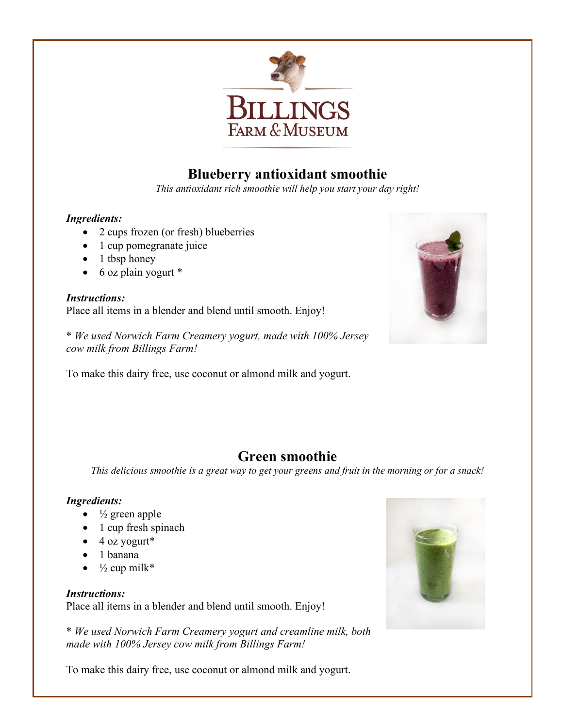

# **Blueberry antioxidant smoothie**

*This antioxidant rich smoothie will help you start your day right!* 

### *Ingredients:*

- 2 cups frozen (or fresh) blueberries
- 1 cup pomegranate juice
- $\bullet$  1 tbsp honey
- $\bullet$  6 oz plain yogurt  $*$

#### *Instructions:* Place all items in a blender and blend until smooth. Enjoy!

\* *We used Norwich Farm Creamery yogurt, made with 100% Jersey cow milk from Billings Farm!*

To make this dairy free, use coconut or almond milk and yogurt.



## **Green smoothie**

*This delicious smoothie is a great way to get your greens and fruit in the morning or for a snack!* 

## *Ingredients:*

- $\bullet$   $\frac{1}{2}$  green apple
- 1 cup fresh spinach
- $\bullet$  4 oz yogurt\*
- 1 banana
- $\frac{1}{2}$  cup milk\*

## *Instructions:*

Place all items in a blender and blend until smooth. Enjoy!

\* *We used Norwich Farm Creamery yogurt and creamline milk, both made with 100% Jersey cow milk from Billings Farm!*

To make this dairy free, use coconut or almond milk and yogurt.